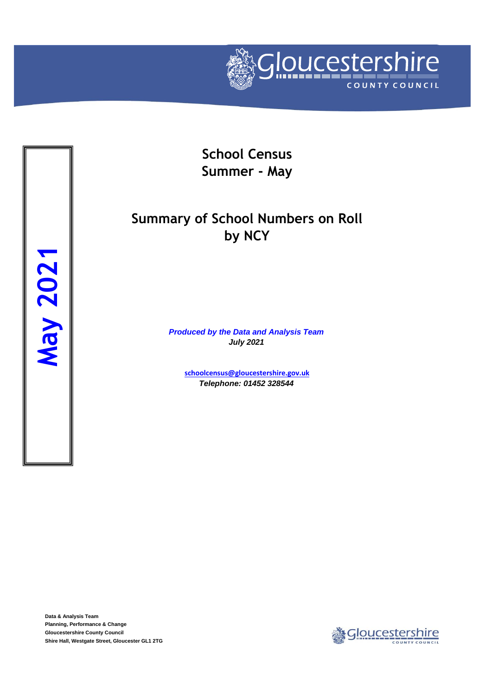

**School Census Summer - May**

## **Summary of School Numbers on Roll by NCY**

*Produced by the Data and Analysis Team July 2021*

**[schoolcensus@gloucestersh](mailto:schoolcensus@gloucestershire.gov.uk)ire.gov.uk** *Telephone: 01452 328544*

**Data & Analysis Team Planning, Performance & Change Gloucestershire County Council**

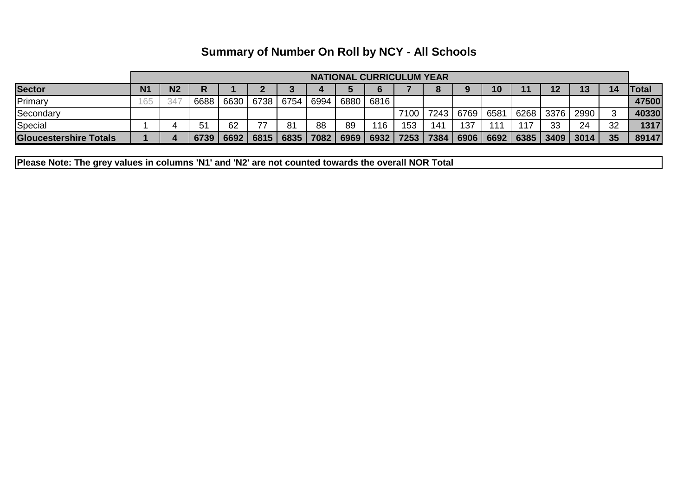| <b>Summary of Number On Roll by NCY - All Schools</b> |  |
|-------------------------------------------------------|--|
|-------------------------------------------------------|--|

|                               | <b>NATIONAL CURRICULUM YEAR</b> |                |      |      |      |      |      |      |      |      |      |             |    |      |         |      |    |              |
|-------------------------------|---------------------------------|----------------|------|------|------|------|------|------|------|------|------|-------------|----|------|---------|------|----|--------------|
| <b>Sector</b>                 | N <sub>1</sub>                  | N <sub>2</sub> | R    |      |      |      |      |      |      |      |      |             | 10 |      | 12      | 13   | 14 | <b>Total</b> |
| Primary                       | 65                              | 34             | 6688 | 6630 | 6738 | 6754 | 6994 | 6880 | 6816 |      |      |             |    |      |         |      |    | 47500        |
| Secondary                     |                                 |                |      |      |      |      |      |      |      | 7100 | 7243 | 6769 6581   |    | 6268 | `丨3376, | 2990 |    | 40330        |
| Special                       |                                 |                | 51   | 62   | 77   | 81   | 88   | 89   | 116  | 153  | 141  | 137         |    | 117  | 33      | 24   | 32 | 1317         |
| <b>Gloucestershire Totals</b> |                                 |                | 6739 | 6692 | 6815 | 6835 | 7082 | 6969 | 6932 | 7253 | 7384 | 6906   6692 |    | 6385 | 3409    | 3014 | 35 | 89147        |

**Please Note: The grey values in columns 'N1' and 'N2' are not counted towards the overall NOR Total**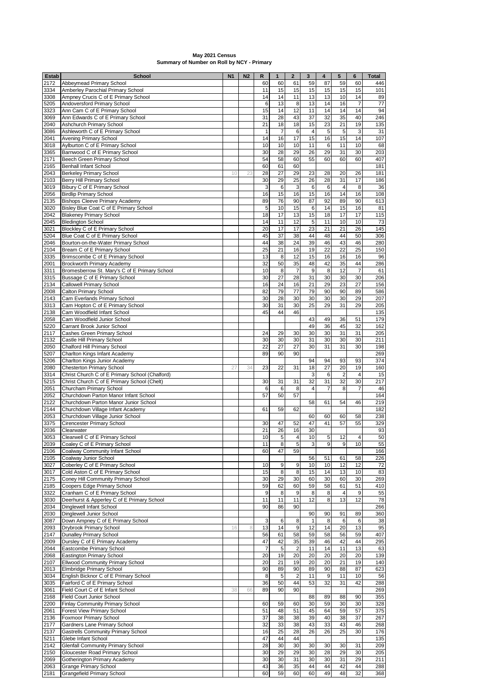| Estab        | School                                                                | N <sub>1</sub> | N <sub>2</sub> | R              | $\mathbf{1}$   | $\mathbf 2$    | 3              | 4              | 5                    | 6              | <b>Total</b> |
|--------------|-----------------------------------------------------------------------|----------------|----------------|----------------|----------------|----------------|----------------|----------------|----------------------|----------------|--------------|
| 2172         | Abbeymead Primary School                                              |                |                | 60             | 60             | 61             | 59             | 87             | 59                   | 60             | 446          |
| 3334         | Amberley Parochial Primary School                                     |                |                | 11             | 15             | 15             | 15             | 15             | 15                   | 15             | 101          |
| 3308         | Ampney Crucis C of E Primary School                                   |                |                | 14             | 14             | 11             | 13             | 13             | 10                   | 14             | 89           |
| 5205         | Andoversford Primary School                                           |                |                | 6              | 13             | 8              | 13             | 14             | 16                   | $\overline{7}$ | 77           |
| 3323         | Ann Cam C of E Primary School                                         |                |                | 15             | 14             | 12             | 11             | 14             | 14                   | 14             | 94           |
| 3069         | Ann Edwards C of E Primary School                                     |                |                | 31             | 28             | 43             | 37             | 32             | 35                   | 40             | 246          |
| 2040         | Ashchurch Primary School                                              |                |                | 21             | 18             | 18             | 15             | 23             | 21                   | 19             | 135          |
| 3086         | Ashleworth C of E Primary School                                      |                |                | $\mathbf{1}$   | $\overline{7}$ | 6              | $\overline{4}$ | 5              | 5                    | 3              | 31           |
| 2041         | Avening Primary School                                                |                |                | 14             | 16             | 17             | 15             | 16             | 15                   | 14             | 107          |
| 3018         | Aylburton C of E Primary School                                       |                |                | 10             | 10             | 10             | 11             | 6              | 11                   | 10             | 68           |
| 3365         | Barnwood C of E Primary School                                        |                |                | 30             | 28             | 29             | 26             | 29             | 31                   | 30             | 203          |
| 2171         | Beech Green Primary School<br><b>Benhall Infant School</b>            |                |                | 54             | 58             | 60             | 55             | 60             | 60                   | 60             | 407          |
| 2165<br>2043 |                                                                       |                |                | 60             | 61<br>27       | 60<br>29       | 23             | 28             | 20                   |                | 181<br>181   |
|              | <b>Berkeley Primary School</b><br>Berry Hill Primary School           | 10             | 23             | 28             |                |                |                |                |                      | 26             |              |
| 2103         |                                                                       |                |                | 30             | 29<br>6        | 25             | 26             | 28<br>6        | 31<br>$\overline{4}$ | 17             | 186<br>36    |
| 3019<br>2056 | Bibury C of E Primary School<br><b>Birdlip Primary School</b>         |                |                | 3<br>16        | 15             | 3<br>16        | 6<br>15        | 16             | 14                   | 8<br>16        | 108          |
| 2135         | <b>Bishops Cleeve Primary Academy</b>                                 |                |                | 89             | 76             | 90             | 87             | 92             | 89                   | 90             | 613          |
| 3020         | Bisley Blue Coat C of E Primary School                                |                |                | 5              | 10             | 15             | 6              | 14             | 15                   | 16             | 81           |
| 2042         | <b>Blakeney Primary School</b>                                        |                |                | 18             | 17             | 13             | 15             | 18             | 17                   | 17             | 115          |
| 2045         | <b>Bledington School</b>                                              |                |                | 14             | 11             | 12             | $\sqrt{5}$     | 11             | 10                   | 10             | 73           |
| 3021         | Blockley C of E Primary School                                        |                |                | 20             | 17             | 17             | 23             | 21             | 21                   | 26             | 145          |
| 5204         | Blue Coat C of E Primary School                                       |                |                | 45             | 37             | 38             | 44             | 48             | 44                   | 50             | 306          |
| 2046         | Bourton-on-the-Water Primary School                                   |                |                | 44             | 38             | 24             | 39             | 46             | 43                   | 46             | 280          |
| 2104         | Bream C of E Primary School                                           |                |                | 25             | 21             | 16             | 19             | 22             | 22                   | 25             | 150          |
| 3335         | Brimscombe C of E Primary School                                      |                |                | 13             | 8              | 12             | 15             | 16             | 16                   | 16             | 96           |
| 2001         | Brockworth Primary Academy                                            |                |                | 32             | 50             | 35             | 48             | 42             | 35                   | 44             | 286          |
| 3311         | Bromesberrow St. Mary's C of E Primary School                         |                |                | 10             | 8              | $\overline{7}$ | 9              | 8              | 12                   | $\overline{7}$ | 61           |
| 3315         | Bussage C of E Primary School                                         |                |                | 30             | 27             | 28             | 31             | 30             | 30                   | 30             | 206          |
| 2134         | <b>Callowell Primary School</b>                                       |                |                | 16             | 24             | 16             | 21             | 29             | 23                   | 27             | 156          |
| 2008         | Calton Primary School                                                 |                |                | 82             | 79             | 77             | 79             | 90             | 90                   | 89             | 586          |
| 2143         | Cam Everlands Primary School                                          |                |                | 30             | 28             | 30             | 30             | 30             | 30                   | 29             | 207          |
| 3313         | Cam Hopton C of E Primary School                                      |                |                | 30             | 31             | 30             | 25             | 29             | 31                   | 29             | 205          |
| 2138         | Cam Woodfield Infant School                                           |                |                | 45             | 44             | 46             |                |                |                      |                | 135          |
| 2058         | Cam Woodfield Junior School                                           |                |                |                |                |                | 43             | 49             | 36                   | 51             | 179          |
| 5220         | Carrant Brook Junior School                                           |                |                |                |                |                | 49             | 36             | 45                   | 32             | 162          |
| 2117         | Cashes Green Primary School                                           |                |                | 24             | 29             | 30             | 30             | 30             | 31                   | 31             | 205          |
| 2132         | Castle Hill Primary School                                            |                |                | 30             | 30             | 30             | 31             | 30             | 30                   | 30             | 211          |
| 2050         | Chalford Hill Primary School                                          |                |                | 22             | 27             | 27             | 30             | 31             | 31                   | 30             | 198          |
| 5207         | Charlton Kings Infant Academy                                         |                |                | 89             | 90             | 90             |                |                |                      |                | 269          |
| 5206         | Charlton Kings Junior Academy                                         |                |                |                |                |                | 94             | 94             | 93                   | 93             | 374          |
| 2080         | <b>Chesterton Primary School</b>                                      | 27             | 34             | 23             | 22             | 31             | 18             | 27             | 20                   | 19             | 160          |
| 3314         | Christ Church C of E Primary School (Chalford)                        |                |                |                |                |                | 3              | 6              | $\overline{2}$       | $\overline{4}$ | 15           |
| 5215         | Christ Church C of E Primary School (Chelt)                           |                |                | 30             | 31             | 31             | 32             | 31             | 32                   | 30             | 217          |
| 2051         | Churcham Primary School                                               |                |                | 6              | 6              | 8              | $\overline{4}$ | $\overline{7}$ | 8                    | $\overline{7}$ | 46           |
| 2052         | Churchdown Parton Manor Infant School                                 |                |                | 57             | 50             | 57             |                |                |                      |                | 164          |
| 2122         | Churchdown Parton Manor Junior School                                 |                |                |                |                |                | 58             | 61             | 54                   | 46             | 219          |
| 2144         | Churchdown Village Infant Academy<br>Churchdown Village Junior School |                |                | 61             | 59             | 62             | 60             |                | 60                   |                | 182<br>238   |
| 2053         |                                                                       |                |                |                | 47             |                | 47             | 60<br>41       |                      | 58             |              |
| 3375<br>2036 | Cirencester Primary School<br>Clearwater                              |                |                | 30<br>21       | 26             | 52<br>16       | 30             |                | 57                   | 55             | 329<br>93    |
| 3053         |                                                                       |                |                | 10             | 5              | $\overline{4}$ | 10             | 5              | 12                   | 4              | 50           |
| 2039         | Clearwell C of E Primary School<br>Coaley C of E Primary School       |                |                | 11             | 8              | 5              | 3              | 9              | 9                    | 10             | 55           |
| 2106         | Coalway Community Infant School                                       |                |                | 60             | 47             | 59             |                |                |                      |                | 166          |
| 2105         | Coalway Junior School                                                 |                |                |                |                |                | 56             | 51             | 61                   | 58             | 226          |
| 3027         | Coberley C of E Primary School                                        |                |                | 10             | 9              | 9              | 10             | 10             | 12                   | 12             | 72           |
| 3017         | Cold Aston C of E Primary School                                      |                |                | 15             | 8              | 8              | 15             | 14             | 13                   | 10             | 83           |
| 2175         | Coney Hill Community Primary School                                   |                |                | 30             | 29             | 30             | 60             | 30             | 60                   | 30             | 269          |
| 2185         | Coopers Edge Primary School                                           |                |                | 59             | 62             | 60             | 59             | 58             | 61                   | 51             | 410          |
| 3322         | Cranham C of E Primary School                                         |                |                | 9              | 8              | 9              | 8              | 8              | 4                    | 9              | 55           |
| 3030         | Deerhurst & Apperley C of E Primary School                            |                |                | 11             | 11             | 11             | 12             | 8              | 13                   | 12             | 78           |
| 2034         | Dinglewell Infant School                                              |                |                | 90             | 86             | 90             |                |                |                      |                | 266          |
| 2030         | Dinglewell Junior School                                              |                |                |                |                |                | 90             | 90             | 91                   | 89             | 360          |
| 3087         | Down Ampney C of E Primary School                                     |                |                | 3              | 6              | 8              | $\mathbf{1}$   | 8              | 6                    | 6              | 38           |
| 2093         | Drybrook Primary School                                               | 16             | 8              | 13             | 14             | 9              | 12             | 14             | 20                   | 13             | 95           |
| 2147         | <b>Dunalley Primary School</b>                                        |                |                | 56             | 61             | 58             | 59             | 58             | 56                   | 59             | 407          |
| 2009         | Dursley C of E Primary Academy                                        |                |                | 47             | 42             | 35             | 39             | 46             | 42                   | 44             | 295          |
| 2044         | Eastcombe Primary School                                              |                |                | $\overline{7}$ | 5              | $\overline{2}$ | 11             | 14             | 11                   | 13             | 63           |
| 2068         | Eastington Primary School                                             |                |                | 20             | 19             | 20             | 20             | 20             | 20                   | 20             | 139          |
| 2107         | Ellwood Community Primary School                                      |                |                | 20             | 21             | 19             | 20             | 20             | 21                   | 19             | 140          |
| 2013         | Elmbridge Primary School                                              |                |                | 90             | 89             | 90             | 89             | 90             | 88                   | 87             | 623          |
| 3034         | English Bicknor C of E Primary School                                 |                |                | 8              | 5              | $\overline{2}$ | 11             | 9              | 11                   | 10             | 56           |
| 3035         | Fairford C of E Primary School                                        |                |                | 36             | 50             | 44             | 53             | 32             | 31                   | 42             | 288          |
| 3061         | Field Court C of E Infant School                                      | 38             | 66             | 89             | 90             | 90             |                |                |                      |                | 269          |
| 2168         | Field Court Junior School                                             |                |                |                |                |                | 88             | 89             | 88                   | 90             | 355          |
| 2200         | Finlay Community Primary School                                       |                |                | 60             | 59             | 60             | 30             | 59             | 30                   | 30             | 328          |
| 2061         | Forest View Primary School                                            |                |                | 51             | 48             | 51             | 45             | 64             | 59                   | 57             | 375          |
| 2136         | Foxmoor Primary School                                                |                |                | 37             | 38             | 38             | 39             | 40             | 38                   | 37             | 267          |
| 2177         | Gardners Lane Primary School                                          |                |                | 32             | 33             | 38             | 43             | 33             | 43                   | 46             | 268          |
| 2137         | <b>Gastrells Community Primary School</b>                             |                |                | 16             | 25             | 28             | 26             | 26             | 25                   | 30             | 176          |
| 5211         | Glebe Infant School                                                   |                |                | 47             | 44             | 44             |                |                |                      |                | 135          |
| 2142         | <b>Glenfall Community Primary School</b>                              |                |                | 28             | 30             | 30             | 30             | 30             | 30                   | 31             | 209          |
| 2150         | Gloucester Road Primary School                                        |                |                | 30             | 29             | 29             | 30             | 28             | 29                   | 30             | 205          |
| 2069         | Gotherington Primary Academy                                          |                |                | 30             | 30             | 31             | 30             | 30             | 31                   | 29             | 211          |
| 2063         | <b>Grange Primary School</b>                                          |                |                | 43             | 36             | 35             | 44             | 44             | 42                   | 44             | 288          |
| 2181         | <b>Grangefield Primary School</b>                                     |                |                | 60             | 59             | 60             | 60             | 49             | 48                   | 32             | 368          |

## **May 2021 Census Summary of Number on Roll by NCY - Primary**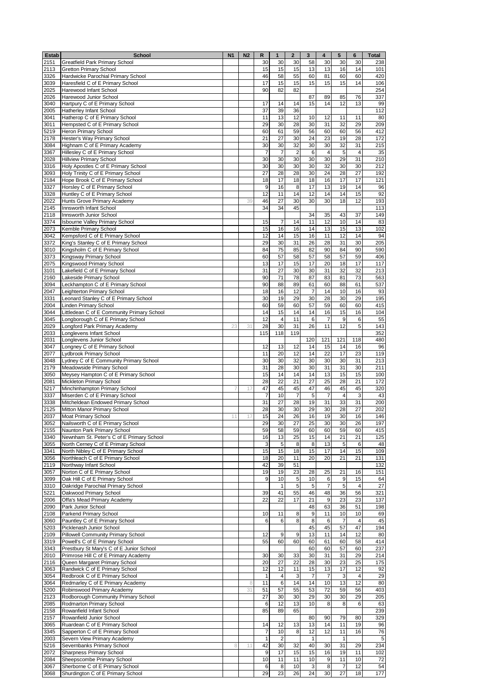| Estab        | <b>School</b>                                     | <b>N1</b> | N <sub>2</sub> | R              | $\mathbf 1$    | $\mathbf{2}$   | 3              | 4              | 5              | 6                       | Total            |
|--------------|---------------------------------------------------|-----------|----------------|----------------|----------------|----------------|----------------|----------------|----------------|-------------------------|------------------|
| 2151         | <b>Greatfield Park Primary School</b>             |           |                | 30             | 30             | 30             | 58             | 30             | 30             | 30                      | 238              |
| 2113         | <b>Gretton Primary School</b>                     |           |                | 15             | 15             | 15             | 13             | 13             | 16             | 14                      | 101              |
| 3326         | Hardwicke Parochial Primary School                |           |                | 46             | 58             | 55             | 60             | 81             | 60             | 60                      | 420              |
| 3039         | Haresfield C of E Primary School                  |           |                | 17             | 15             | 15             | 15             | 15             | 15             | 14                      | 106              |
| 2025         | Harewood Infant School                            |           |                | 90             | 82             | 82             |                |                |                |                         | 254              |
| 2026         | Harewood Junior School                            |           |                |                |                |                | 87             | 89             | 85             | 76                      | 337              |
| 3040         | Hartpury C of E Primary School                    |           |                | 17             | 14             | 14             | 15             | 14             | 12             | 13                      | 99               |
| 2005         | Hatherley Infant School                           |           |                | 37             | 39             | 36             |                |                |                |                         | 112              |
| 3041         | Hatherop C of E Primary School                    |           |                | 11             | 13             | 12             | 10             | 12             | 11             | 11                      | 80               |
| 3011         | Hempsted C of E Primary School                    |           |                | 29             | 30             | 28             | 30             | 31             | 32             | 29                      | 209              |
| 5219         | Heron Primary School                              |           |                | 60             | 61             | 59             | 56             | 60             | 60             | 56                      | 412              |
| 2178         | Hester's Way Primary School                       |           |                | 21             | 27             | 30             | 24             | 23             | 19             | 28                      | 172              |
| 3084         | Highnam C of E Primary Academy                    |           |                | 30             | 30             | 32             | 30             | 30             | 32             | 31                      | 215              |
| 3367         | Hillesley C of E Primary School                   |           |                | $\overline{7}$ | $\overline{7}$ | $\overline{2}$ | 6              | 4              | 5              | $\overline{\mathbf{4}}$ | 35               |
| 2028         | <b>Hillview Primary School</b>                    |           |                | 30             | 30             | 30             | 30             | 30             | 29             | 31                      | 210              |
| 3316         | Holy Apostles C of E Primary School               |           |                | 30             | 30             | 30             | 30             | 32             | 30             | 30                      | 212              |
| 3093         | Holy Trinity C of E Primary School                |           |                | 27             | 28             | 28             | 30             | 24             | 28             | 27                      | 192              |
| 2184         | Hope Brook C of E Primary School                  |           |                | 18             | 17             | 18             | 18             | 16             | 17             | 17                      | 121              |
| 3327         | Horsley C of E Primary School                     |           |                | 9              | 16             | 8              | 17             | 13             | 19             | 14                      | 96               |
| 3328         | Huntley C of E Primary School                     |           |                | 12             | 11             | 14             | 12             | 14             | 14             | 15                      | 92               |
| 2022         | Hunts Grove Primary Academy                       |           | 39             | 46             | 27             | 30             | 30             | 30             | 18             | 12                      | 193              |
| 2145         | Innsworth Infant School                           |           |                | 34             | 34             | 45             |                |                |                |                         | $\overline{113}$ |
| 2118         | Innsworth Junior School                           |           |                |                |                |                | 34             | 35             | 43             | 37                      | 149              |
| 3374         | Isbourne Valley Primary School                    |           |                | 15             | $\overline{7}$ | 14             | 11             | 12             | 10             | 14                      | 83               |
| 2073         | Kemble Primary School                             |           |                | 15             | 16             | 16             | 14             | 13             | 15             | 13                      | 102              |
| 3042         | Kempsford C of E Primary School                   |           |                | 12             | 14             | 15             | 16             | 11             | 12             | 14                      | 94               |
| 3372         | King's Stanley C of E Primary School              |           |                | 29             | 30             | 31             | 26             | 28             | 31             | 30                      | 205              |
| 3010         | Kingsholm C of E Primary School                   |           |                | 84             | 75             | 85             | 82             | 90             | 84             | 90                      | 590              |
| 3373         | Kingsway Primary School                           |           |                | 60             | 57             | 58             | 57             | 58             | 57             | 59                      | 406              |
| 2075         | Kingswood Primary School                          |           |                | 13             | 17             | 15             | 17             | 20             | 18             | 17                      | 117              |
| 3101         | Lakefield C of E Primary School                   |           |                | 31             | 27             | 30             | 30             | 31             | 32             | 32                      | 213              |
| 2160         | Lakeside Primary School                           |           |                | 90             | 71             | 78             | 87             | 83             | 81             | 73                      | 563              |
| 3094         | Leckhampton C of E Primary School                 |           |                | 90             | 88             | 89             | 61             | 60             | 88             | 61                      | 537              |
| 2047         | Leighterton Primary School                        |           |                | 18             | 16             | 12             | $\overline{7}$ | 14             | 10             | 16                      | 93               |
| 3331         | Leonard Stanley C of E Primary School             |           |                | 30             | 19             | 29             | 30             | 28             | 30             | 29                      | 195              |
| 2004         | Linden Primary School                             |           |                | 60             | 59             | 60             | 57             | 59             | 60             | 60                      | 415              |
| 3044         | Littledean C of E Community Primary School        |           |                | 14             | 15             | 14             | 14             | 16             | 15             | 16                      | 104              |
| 3045         | Longborough C of E Primary School                 |           |                | 12             | 4              | 11             | 6              | $\overline{7}$ | 9              | 6                       | 55               |
| 2029         | Longford Park Primary Academy                     | 23        | 31             | 28             | 30             | 31             | 26             | 11             | 12             | 5                       | 143              |
| 2033         | Longlevens Infant School                          |           |                | 115            | 118            | 119            |                |                |                |                         | 352              |
| 2031         | Longlevens Junior School                          |           |                |                |                |                | 120            | 121            | 121            | 118                     | 480              |
| 3047         | Longney C of E Primary School                     |           |                | 12             | 13             | 12             | 14             | 15             | 14             | 16                      | 96               |
| 2077         | Lydbrook Primary School                           |           |                | 11             | 20             | 12             | 14             | 22             | 17             | 23                      | 119              |
| 3048         | Lydney C of E Community Primary School            |           |                | 30             | 30             | 32             | 30             | 30             | 30             | 31                      | 213              |
| 2179         | Meadowside Primary School                         |           |                | 31             | 28             | 30             | 30             | 31             | 31             | 30                      | 211              |
| 3050         | Meysey Hampton C of E Primary School              |           |                | 15             | 14             | 14             | 14             | 13             | 15             | 15                      | 100              |
| 2081         | Mickleton Primary School                          |           |                | 28             | 22             | 21             | 27             | 25             | 28             | 21                      | 172              |
| 5217         | Minchinhampton Primary School                     |           | 17             | 47             | 45             | 45             | 47             | 46             | 45             | 45                      | 320              |
| 3337         | Miserden C of E Primary School                    |           |                | $\overline{7}$ | 10             | 7              | 5              | 7              | 4              | 3                       | 43               |
| 3338         | Mitcheldean Endowed Primary School                |           |                | 31             | 27             | 28             | 19             | 31             | 33             | 31                      | 200              |
| 2125         | Mitton Manor Primary School                       |           |                | 28             | 30             | 30             | 29             | 30             | 28             | 27                      | 202              |
| 2037         | Moat Primary School                               | 11        | 17             | 15             | 24             | 26             | 16             | 19             | 30             | 16                      | 146              |
| 3052         | Nailsworth C of E Primary School                  |           |                | 29             | 30             | 27             | 25             | 30             | 30             | 26                      | 197              |
| 2155         | Naunton Park Primary School                       |           |                | 59             | 58             | 59             | 60             | 60             | 59             | 60                      | 415              |
| 3340         | Newnham St. Peter's C of E Primary School         |           |                | 16             | 13             | 25             | 15             | 14             | 21             | 21                      | 125              |
| 3055         | North Cerney C of E Primary School                |           |                | 3              | 5              | 8              | 8              | 13             | 5              | 6                       | 48               |
| 3341         | North Nibley C of E Primary School                |           |                | 15             | 15             | 18             | 15             | 17             | 14             | 15                      | 109              |
| 3056         | Northleach C of E Primary School                  |           |                | 18             | 20             | 11             | 20             | 20             | 21             | 21                      | 131              |
| 2119         | Northway Infant School                            |           |                | 42             | 39             | 51             |                |                |                |                         | 132              |
| 3057         | Norton C of E Primary School                      |           |                | 19             | 19             | 23             | 28             | 25             | 21             | 16                      | 151              |
| 3099         | Oak Hill C of E Primary School                    |           |                | 9              | 10             | 5              | 10             | 6              | 9              | 15                      | 64               |
| 3310         | Oakridge Parochial Primary School                 |           |                |                | $\mathbf{1}$   | 5              | $\sqrt{5}$     | $\overline{7}$ | 5              | $\overline{\mathbf{4}}$ | 27               |
| 5221<br>2006 | Oakwood Primary School                            |           |                | 39<br>22       | 41<br>22       | 55<br>17       | 46<br>21       | 48<br>9        | 36<br>23       | 56<br>23                | 321<br>137       |
| 2090         | Offa's Mead Primary Academy<br>Park Junior School |           |                |                |                |                | 48             | 63             | 36             | 51                      | 198              |
| 2108         | Parkend Primary School                            |           |                | 10             | 11             | 8              | 9              | 11             | 10             | 10                      | 69               |
| 3060         | Pauntley C of E Primary School                    |           |                | 6              | 6              | 8              | 8              | 6              | $\overline{7}$ | 4                       | 45               |
| 5203         | Picklenash Junior School                          |           |                |                |                |                | 45             | 45             | 57             | 47                      | 194              |
| 2109         | <b>Pillowell Community Primary School</b>         |           |                | 12             | 9              | 9              | 13             | 11             | 14             | 12                      | 80               |
| 3319         | Powell's C of E Primary School                    |           |                | 55             | 60             | 60             | 60             | 61             | 60             | 58                      | 414              |
| 3343         | Prestbury St Mary's C of E Junior School          |           |                |                |                |                | 60             | 60             | 57             | 60                      | 237              |
| 2010         | Primrose Hill C of E Primary Academy              |           |                | 30             | 30             | 33             | 30             | 31             | 31             | 29                      | 214              |
| 2116         | Queen Margaret Primary School                     |           |                | 20             | 27             | 22             | 28             | 30             | 23             | 25                      | 175              |
| 3063         | Randwick C of E Primary School                    |           |                | 12             | 12             | 11             | 15             | 13             | 17             | 12                      | 92               |
| 3054         | Redbrook C of E Primary School                    |           |                | $\mathbf{1}$   | $\overline{4}$ | 3              | $\overline{7}$ | $\overline{7}$ | 3              | $\overline{\mathbf{4}}$ | 29               |
| 3064         | Redmarley C of E Primary Academy                  |           | 8              | 11             | 6              | 14             | 14             | 10             | 13             | 12                      | 80               |
| 5200         | Robinswood Primary Academy                        |           | 31             | 51             | 57             | 55             | 53             | 72             | 59             | 56                      | 403              |
| 2123         | Rodborough Community Primary School               |           |                | 27             | 30             | 30             | 29             | 30             | 30             | 29                      | 205              |
| 2085         | Rodmarton Primary School                          |           |                | 6              | 12             | 13             | 10             | 8              | 8              | 6                       | 63               |
| 2158         | Rowanfield Infant School                          |           |                | 85             | 89             | 65             |                |                |                |                         | 239              |
| 2157         | Rowanfield Junior School                          |           |                |                |                |                | 80             | 90             | 79             | 80                      | 329              |
| 3065         | Ruardean C of E Primary School                    |           |                | 14             | 12             | 13             | 13             | 14             | 11             | 19                      | 96               |
| 3345         | Sapperton C of E Primary School                   |           |                | $\overline{7}$ | 10             | 8              | 12             | 12             | 11             | 16                      | 76               |
| 2003         | Severn View Primary Academy                       |           |                | $\mathbf{1}$   | $\overline{c}$ |                | $\mathbf{1}$   |                | $\mathbf{1}$   |                         | 5                |
| 5216         | Severnbanks Primary School                        | 8         | 11             | 42             | 30             | 32             | 40             | 30             | 31             | 29                      | 234              |
| 2072         | <b>Sharpness Primary School</b>                   |           |                | 9              | 17             | 15             | 15             | 16             | 19             | 11                      | 102              |
| 2084         | Sheepscombe Primary School                        |           |                | 10             | 11             | 11             | 10             | 9              | 11             | 10                      | 72               |
| 3067         | Sherborne C of E Primary School                   |           |                | 6              | 8              | 10             | $\mathbf{3}$   | 8              | $\overline{7}$ | 12                      | 54               |
| 3068         | Shurdington C of E Primary School                 |           |                | 29             | 23             | 26             | 24             | 30             | 27             | 18                      | 177              |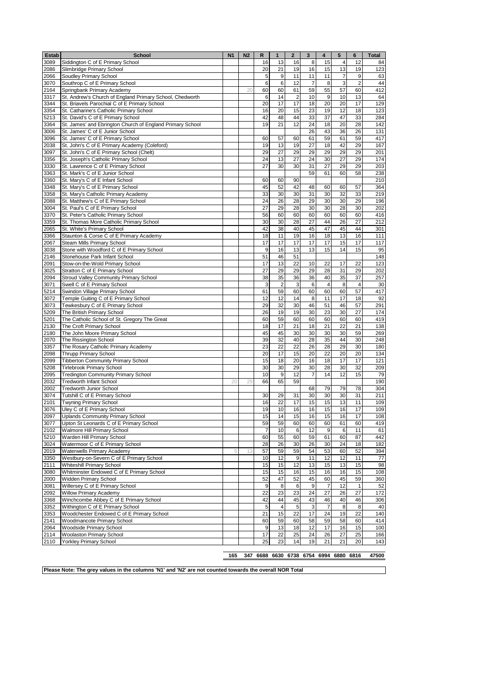| <b>Estab</b> | <b>School</b>                                                                                  | N <sub>1</sub> | N <sub>2</sub> | R        | $\mathbf{1}$     | $\mathbf{2}$   | 3        | 4              | 5              | 6                       | <b>Total</b> |
|--------------|------------------------------------------------------------------------------------------------|----------------|----------------|----------|------------------|----------------|----------|----------------|----------------|-------------------------|--------------|
| 3089         | Siddington C of E Primary School                                                               |                |                | 16       | 13               | 16             | 8        | 15             | 4              | 12                      | 84           |
| 2086         | Slimbridge Primary School                                                                      |                |                | 20       | 21               | 19             | 16       | 15             | 13             | 19                      | 123          |
| 2066         | Soudley Primary School                                                                         |                |                | 5        | $\boldsymbol{9}$ | 11             | 11       | 11             | $\overline{7}$ | 9                       | 63           |
| 3070         | Southrop C of E Primary School                                                                 |                |                | 6        | 6                | 12             | 7        | 8              | 3              | $\overline{\mathbf{c}}$ | 44           |
| 2164         | Springbank Primary Academy                                                                     |                | 20             | 60       | 60               | 61             | 59       | 55             | 57             | 60                      | 412          |
| 3317         | St. Andrew's Church of England Primary School, Chedworth                                       |                |                | 6        | 14               | $\overline{c}$ | 10       | 9              | 10             | 13                      | 64           |
| 3344         | St. Briavels Parochial C of E Primary School                                                   |                |                | 20       | 17               | 17             | 18       | 20             | 20             | 17                      | 129          |
| 3354         | St. Catharine's Catholic Primary School                                                        |                |                | 16       | 20               | 15             | 23       | 19             | 12<br>47       | 18                      | 123          |
| 5213<br>3364 | St. David's C of E Primary School<br>St. James' and Ebrington Church of England Primary School |                |                | 42<br>19 | 48<br>21         | 44<br>12       | 33<br>24 | 37<br>18       | 20             | 33<br>28                | 284<br>142   |
| 3006         | St. James' C of E Junior School                                                                |                |                |          |                  |                | 26       | 43             | 36             | 26                      | 131          |
| 3096         | St. James' C of E Primary School                                                               |                |                | 60       | 57               | 60             | 61       | 59             | 61             | 59                      | 417          |
| 2038         | St. John's C of E Primary Academy (Coleford)                                                   |                |                | 19       | 13               | 19             | 27       | 18             | 42             | 29                      | 167          |
| 3097         | St. John's C of E Primary School (Chelt)                                                       |                |                | 29       | 27               | 29             | 29       | 29             | 29             | 29                      | 201          |
| 3356         | St. Joseph's Catholic Primary School                                                           |                |                | 24       | 13               | 27             | 24       | 30             | 27             | 29                      | 174          |
| 3330         | St. Lawrence C of E Primary School                                                             |                |                | 27       | 30               | 30             | 31       | 27             | 29             | 29                      | 203          |
| 3363         | St. Mark's C of E Junior School                                                                |                |                |          |                  |                | 59       | 61             | 60             | 58                      | 238          |
| 3360         | St. Mary's C of E Infant School                                                                |                |                | 60       | 60               | 90             |          |                |                |                         | 210          |
| 3348         | St. Mary's C of E Primary School                                                               |                |                | 45       | 52               | 42             | 48       | 60             | 60             | 57                      | 364          |
| 3358         | St. Mary's Catholic Primary Academy                                                            |                |                | 33       | 30               | 30             | 31       | 30             | 32             | 33                      | 219          |
| 2088         | St. Matthew's C of E Primary School                                                            |                |                | 24       | 26               | 28             | 29       | 30             | 30             | 29                      | 196          |
| 3004         | St. Paul's C of E Primary School                                                               |                |                | 27       | 29               | 28             | 30       | 30             | 28             | 30                      | 202          |
| 3370         | St. Peter's Catholic Primary School                                                            |                |                | 56       | 60               | 60             | 60       | 60             | 60             | 60                      | 416          |
| 3359         | St. Thomas More Catholic Primary School                                                        |                |                | 30<br>42 | 30               | 28<br>40       | 27<br>45 | 44<br>47       | 26<br>45       | 27<br>44                | 212          |
| 2065<br>3366 | St. White's Primary School<br>Staunton & Corse C of E Primary Academy                          |                |                | 18       | 38<br>11         | 19             | 16       | 18             | 13             | 16                      | 301<br>111   |
| 2067         | Steam Mills Primary School                                                                     |                |                | 17       | 17               | 17             | 17       | 17             | 15             | 17                      | 117          |
| 3038         | Stone with Woodford C of E Primary School                                                      |                |                | 9        | 16               | 13             | 13       | 15             | 14             | 15                      | 95           |
| 2146         | Stonehouse Park Infant School                                                                  |                |                | 51       | 46               | 51             |          |                |                |                         | 148          |
| 2091         | Stow-on-the-Wold Primary School                                                                |                |                | 17       | 13               | 22             | 10       | 22             | 17             | 22                      | 123          |
| 3025         | Stratton C of E Primary School                                                                 |                |                | 27       | 29               | 29             | 29       | 28             | 31             | 29                      | 202          |
| 2094         | Stroud Valley Community Primary School                                                         |                |                | 38       | 35               | 36             | 36       | 40             | 35             | 37                      | 257          |
| 3071         | Swell C of E Primary School                                                                    |                |                | 3        | $\overline{c}$   | 3              | 6        | $\overline{4}$ | 8              | $\overline{4}$          | 30           |
| 5214         | Swindon Village Primary School                                                                 |                |                | 61       | 59               | 60             | 60       | 60             | 60             | 57                      | 417          |
| 3072         | Temple Guiting C of E Primary School                                                           |                |                | 12       | 12               | 14             | 8        | 11             | 17             | 18                      | 92           |
| 3073         | Tewkesbury C of E Primary School                                                               |                |                | 29       | 32               | 30             | 46       | 51             | 46             | 57                      | 291          |
| 5209         | The British Primary School                                                                     |                |                | 26       | 19               | 19             | 30       | 23             | 30             | 27                      | 174          |
| 5201         | The Catholic School of St. Gregory The Great                                                   |                |                | 60       | 59               | 60             | 60       | 60             | 60             | 60                      | 419          |
| 2130         | The Croft Primary School                                                                       |                |                | 18       | 17               | 21             | 18       | 21             | 22             | 21                      | 138          |
| 2180         | The John Moore Primary School                                                                  |                |                | 45       | 45               | 30             | 30       | 30             | 30             | 59                      | 269          |
| 2070         | The Rissington School                                                                          |                |                | 39       | 32               | 40<br>22       | 28       | 35             | 44             | 30                      | 248          |
| 3357         | The Rosary Catholic Primary Academy<br><b>Thrupp Primary School</b>                            |                |                | 23<br>20 | 22<br>17         | 15             | 26<br>20 | 28<br>22       | 29<br>20       | 30<br>20                | 180<br>134   |
| 2098<br>2099 | <b>Tibberton Community Primary School</b>                                                      |                |                | 15       | 18               | 20             | 16       | 18             | 17             | 17                      | 121          |
| 5208         | <b>Tirlebrook Primary School</b>                                                               |                |                | 30       | 30               | 29             | 30       | 28             | 30             | 32                      | 209          |
| 2095         | <b>Tredington Community Primary School</b>                                                     |                |                | 10       | 9                | 12             | 7        | 14             | 12             | 15                      | 79           |
| 2032         | <b>Tredworth Infant School</b>                                                                 | 20             | 29             | 66       | 65               | 59             |          |                |                |                         | 190          |
| 2002         | Tredworth Junior School                                                                        |                |                |          |                  |                | 68       | 79             | 79             | 78                      | 304          |
| 3074         | Tutshill C of E Primary School                                                                 |                |                | 30       | 29               | 31             | 30       | 30             | 30             | 31                      | 211          |
| 2101         | Twyning Primary School                                                                         |                |                | 16       | 22               | 17             | 15       | 15             | 13             | 11                      | 109          |
| 3076         | Uley C of E Primary School                                                                     |                |                | 19       | 10               | 16             | 16       | 15             | 16             | 17                      | 109          |
| 2097         | <b>Uplands Community Primary School</b>                                                        |                |                | 15       | 14               | 15             | 16       | 15             | 16             | 17                      | 108          |
| 3077         | Upton St Leonards C of E Primary School                                                        |                |                | 59       | 59               | 60             | 60       | 60             | 61             | 60                      | 419          |
| 2102         | Walmore Hill Primary School                                                                    |                |                | 7        | 10               | 6              | 12       | 9              | 6              | 11                      | 61           |
| 5210         | Warden Hill Primary School                                                                     |                |                | 60       | 55               | 60             | 59       | 61             | 60             | 87                      | 442          |
| 3024         | Watermoor C of E Primary School                                                                |                |                | 28       | 26               | 30             | 26       | 30             | 24             | 18                      | 182          |
| 2019         | Waterwells Primary Academy                                                                     | 5              | 13             | 57       | 59               | 59             | 54       | 53             | 60             | 52                      | 394          |
| 3350         | Westbury-on-Severn C of E Primary School                                                       |                |                | 10       | 12               | 9              | 11       | 12             | 12             | 11                      | 77           |
| 2111         | Whiteshill Primary School                                                                      |                |                | 15       | 15               | 12             | 13       | 15             | 13             | 15                      | 98<br>108    |
| 3080<br>2000 | Whitminster Endowed C of E Primary School<br>Widden Primary School                             |                |                | 15<br>52 | 15<br>47         | 16<br>52       | 15<br>45 | 16<br>60       | 16<br>45       | 15<br>59                | 360          |
| 3081         | Willersey C of E Primary School                                                                |                |                | 9        | 8                | 6              | 9        | $\overline{7}$ | 12             | 1                       | 52           |
| 2092         | Willow Primary Academy                                                                         |                |                | 22       | 23               | 23             | 24       | 27             | 26             | 27                      | 172          |
| 3368         | Winchcombe Abbey C of E Primary School                                                         |                |                | 42       | 44               | 45             | 43       | 46             | 40             | 46                      | 306          |
| 3352         | Withington C of E Primary School                                                               |                |                | 5        | 4                | 5              | 3        | $\overline{7}$ | 8              | 8                       | 40           |
| 3353         | Woodchester Endowed C of E Primary School                                                      |                |                | 21       | 15               | 22             | 17       | 24             | 19             | 22                      | 140          |
| 2141         | Woodmancote Primary School                                                                     |                |                | 60       | 59               | 60             | 58       | 59             | 58             | 60                      | 414          |
| 2064         | Woodside Primary School                                                                        |                |                | 9        | 13               | 18             | 12       | 17             | 16             | 15                      | 100          |
| 2114         | <b>Woolaston Primary School</b>                                                                |                |                | 17       | 22               | 25             | 24       | 26             | 27             | 25                      | 166          |
| 2110         | <b>Yorkley Primary School</b>                                                                  |                |                | 25       | 23               | 14             | 19       | 21             | 21             | 20                      | 143          |
|              |                                                                                                |                |                |          |                  |                |          |                |                |                         |              |

**347 6688 6630 6738 6754 6994 6880 6816 47500**

**Please Note: The grey values in the columns 'N1' and 'N2' are not counted towards the overall NOR Total**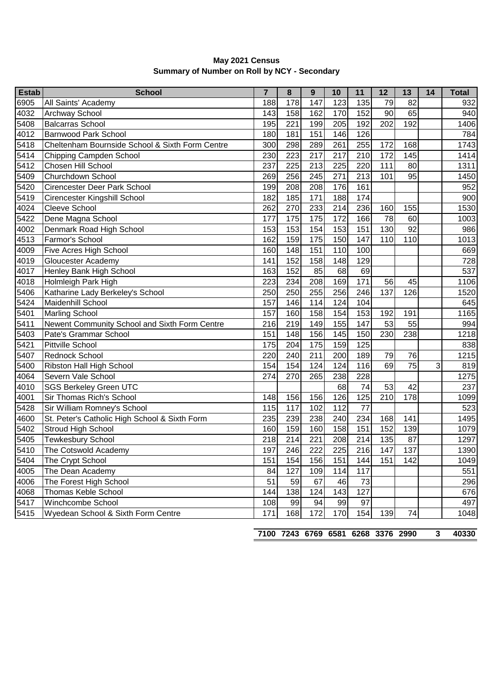| <b>Estab</b> | <b>School</b>                                   | $\overline{7}$ | 8   | 9   | 10               | 11  | 12  | 13              | 14 | <b>Total</b> |
|--------------|-------------------------------------------------|----------------|-----|-----|------------------|-----|-----|-----------------|----|--------------|
| 6905         | All Saints' Academy                             | 188            | 178 | 147 | 123              | 135 | 79  | 82              |    | 932          |
| 4032         | <b>Archway School</b>                           | 143            | 158 | 162 | 170              | 152 | 90  | 65              |    | 940          |
| 5408         | <b>Balcarras School</b>                         | 195            | 221 | 199 | 205              | 192 | 202 | 192             |    | 1406         |
| 4012         | <b>Barnwood Park School</b>                     | 180            | 181 | 151 | 146              | 126 |     |                 |    | 784          |
| 5418         | Cheltenham Bournside School & Sixth Form Centre | 300            | 298 | 289 | 261              | 255 | 172 | 168             |    | 1743         |
| 5414         | Chipping Campden School                         | 230            | 223 | 217 | 217              | 210 | 172 | 145             |    | 1414         |
| 5412         | Chosen Hill School                              | 237            | 225 | 213 | 225              | 220 | 111 | 80              |    | 1311         |
| 5409         | Churchdown School                               | 269            | 256 | 245 | 271              | 213 | 101 | 95              |    | 1450         |
| 5420         | Cirencester Deer Park School                    | 199            | 208 | 208 | 176              | 161 |     |                 |    | 952          |
| 5419         | <b>Cirencester Kingshill School</b>             | 182            | 185 | 171 | 188              | 174 |     |                 |    | 900          |
| 4024         | Cleeve School                                   | 262            | 270 | 233 | 214              | 236 | 160 | 155             |    | 1530         |
| 5422         | Dene Magna School                               | 177            | 175 | 175 | 172              | 166 | 78  | 60              |    | 1003         |
| 4002         | Denmark Road High School                        | 153            | 153 | 154 | 153              | 151 | 130 | 92              |    | 986          |
| 4513         | Farmor's School                                 | 162            | 159 | 175 | 150              | 147 | 110 | 110             |    | 1013         |
| 4009         | Five Acres High School                          | 160            | 148 | 151 | 110              | 100 |     |                 |    | 669          |
| 4019         | Gloucester Academy                              | 141            | 152 | 158 | 148              | 129 |     |                 |    | 728          |
| 4017         | Henley Bank High School                         | 163            | 152 | 85  | 68               | 69  |     |                 |    | 537          |
| 4018         | Holmleigh Park High                             | 223            | 234 | 208 | 169              | 171 | 56  | 45              |    | 1106         |
| 5406         | Katharine Lady Berkeley's School                | 250            | 250 | 255 | 256              | 246 | 137 | 126             |    | 1520         |
| 5424         | Maidenhill School                               | 157            | 146 | 114 | 124              | 104 |     |                 |    | 645          |
| 5401         | <b>Marling School</b>                           | 157            | 160 | 158 | 154              | 153 | 192 | 191             |    | 1165         |
| 5411         | Newent Community School and Sixth Form Centre   | 216            | 219 | 149 | 155              | 147 | 53  | 55              |    | 994          |
| 5403         | Pate's Grammar School                           | 151            | 148 | 156 | 145              | 150 | 230 | 238             |    | 1218         |
| 5421         | <b>Pittville School</b>                         | 175            | 204 | 175 | 159              | 125 |     |                 |    | 838          |
| 5407         | Rednock School                                  | 220            | 240 | 211 | 200              | 189 | 79  | 76              |    | 1215         |
| 5400         | Ribston Hall High School                        | 154            | 154 | 124 | 124              | 116 | 69  | $\overline{75}$ | 3  | 819          |
| 4064         | Severn Vale School                              | 274            | 270 | 265 | 238              | 228 |     |                 |    | 1275         |
| 4010         | <b>SGS Berkeley Green UTC</b>                   |                |     |     | 68               | 74  | 53  | 42              |    | 237          |
| 4001         | Sir Thomas Rich's School                        | 148            | 156 | 156 | 126              | 125 | 210 | 178             |    | 1099         |
| 5428         | Sir William Romney's School                     | 115            | 117 | 102 | $11\overline{2}$ | 77  |     |                 |    | 523          |
| 4600         | St. Peter's Catholic High School & Sixth Form   | 235            | 239 | 238 | 240              | 234 | 168 | 141             |    | 1495         |
| 5402         | Stroud High School                              | 160            | 159 | 160 | 158              | 151 | 152 | 139             |    | 1079         |
| 5405         | <b>Tewkesbury School</b>                        | 218            | 214 | 221 | 208              | 214 | 135 | 87              |    | 1297         |
| 5410         | The Cotswold Academy                            | 197            | 246 | 222 | 225              | 216 | 147 | 137             |    | 1390         |
| 5404         | The Crypt School                                | 151            | 154 | 156 | 151              | 144 | 151 | 142             |    | 1049         |
| 4005         | The Dean Academy                                | 84             | 127 | 109 | 114              | 117 |     |                 |    | 551          |
| 4006         | The Forest High School                          | 51             | 59  | 67  | 46               | 73  |     |                 |    | 296          |
| 4068         | Thomas Keble School                             | 144            | 138 | 124 | 143              | 127 |     |                 |    | 676          |
| 5417         | Winchcombe School                               | 108            | 99  | 94  | 99               | 97  |     |                 |    | 497          |
| 5415         | Wyedean School & Sixth Form Centre              | 171            | 168 | 172 | 170              | 154 | 139 | 74              |    | 1048         |

## **Summary of Number on Roll by NCY - Secondary May 2021 Census**

**7243 6769 6581 6268 3376 2990 3 40330**